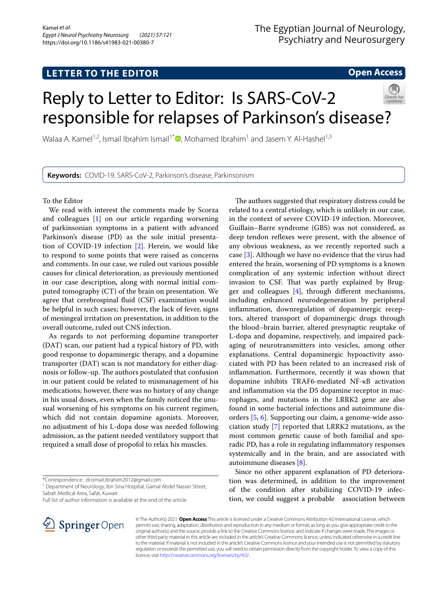# **LETTER TO THE EDITOR**

## **Open Access**

# Reply to Letter to Editor: Is SARS-CoV-2 responsible for relapses of Parkinson's disease?

Walaa A. Kamel<sup>1,2</sup>[,](https://orcid.org/0000-0002-9788-7044) Ismail Ibrahim Ismail<sup>1\*</sup>  $\bullet$ , Mohamed Ibrahim<sup>1</sup> and Jasem Y. Al-Hashel<sup>1,3</sup>

**Keywords:** COVID-19, SARS-CoV-2, Parkinson's disease, Parkinsonism

To the Editor

We read with interest the comments made by Scorza and colleagues [[1\]](#page-1-0) on our article regarding worsening of parkinsonian symptoms in a patient with advanced Parkinson's disease (PD) as the sole initial presentation of COVID-19 infection [\[2](#page-1-1)]. Herein, we would like to respond to some points that were raised as concerns and comments. In our case, we ruled out various possible causes for clinical deterioration, as previously mentioned in our case description, along with normal initial computed tomography (CT) of the brain on presentation. We agree that cerebrospinal fuid (CSF) examination would be helpful in such cases; however, the lack of fever, signs of meningeal irritation on presentation, in addition to the overall outcome, ruled out CNS infection.

As regards to not performing dopamine transporter (DAT) scan, our patient had a typical history of PD, with good response to dopaminergic therapy, and a dopamine transporter (DAT) scan is not mandatory for either diagnosis or follow-up. The authors postulated that confusion in our patient could be related to mismanagement of his medications; however, there was no history of any change in his usual doses, even when the family noticed the unusual worsening of his symptoms on his current regimen, which did not contain dopamine agonists. Moreover, no adjustment of his L-dopa dose was needed following admission, as the patient needed ventilatory support that required a small dose of propofol to relax his muscles.

\*Correspondence: dr.ismail.ibrahim2012@gmail.com

<sup>1</sup> Department of Neurology, Ibn Sina Hospital, Gamal Abdel Nasser Street, Sabah Medical Area, Safat, Kuwait

Full list of author information is available at the end of the article



Since no other apparent explanation of PD deterioration was determined, in addition to the improvement of the condition after stabilizing COVID-19 infection, we could suggest a probable association between



© The Author(s) 2021. **Open Access** This article is licensed under a Creative Commons Attribution 4.0 International License, which permits use, sharing, adaptation, distribution and reproduction in any medium or format, as long as you give appropriate credit to the original author(s) and the source, provide a link to the Creative Commons licence, and indicate if changes were made. The images or other third party material in this article are included in the article's Creative Commons licence, unless indicated otherwise in a credit line to the material. If material is not included in the article's Creative Commons licence and your intended use is not permitted by statutory regulation or exceeds the permitted use, you will need to obtain permission directly from the copyright holder. To view a copy of this licence, visit [http://creativecommons.org/licenses/by/4.0/.](http://creativecommons.org/licenses/by/4.0/)